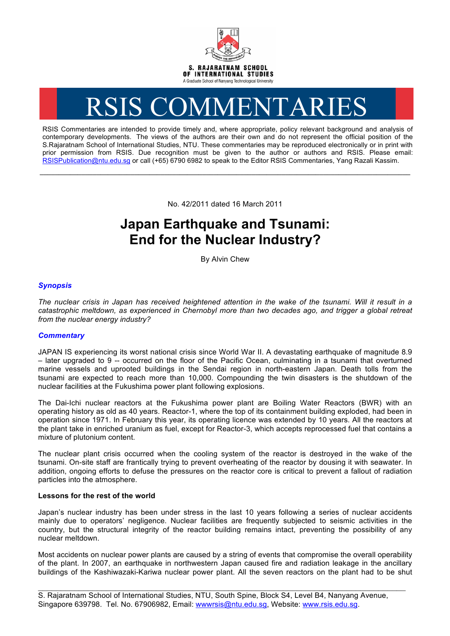

# RSIS COMMENTARIES

RSIS Commentaries are intended to provide timely and, where appropriate, policy relevant background and analysis of contemporary developments. The views of the authors are their own and do not represent the official position of the S.Rajaratnam School of International Studies, NTU. These commentaries may be reproduced electronically or in print with prior permission from RSIS. Due recognition must be given to the author or authors and RSIS. Please email: RSISPublication@ntu.edu.sg or call (+65) 6790 6982 to speak to the Editor RSIS Commentaries, Yang Razali Kassim.

No. 42/2011 dated 16 March 2011

**\_\_\_\_\_\_\_\_\_\_\_\_\_\_\_\_\_\_\_\_\_\_\_\_\_\_\_\_\_\_\_\_\_\_\_\_\_\_\_\_\_\_\_\_\_\_\_\_\_\_\_\_\_\_\_\_\_\_\_\_\_\_\_\_\_\_\_\_\_\_\_\_\_\_\_\_\_\_\_\_\_\_\_\_\_\_\_\_\_\_\_\_\_\_\_\_\_\_**

# **Japan Earthquake and Tsunami: End for the Nuclear Industry?**

By Alvin Chew

## *Synopsis*

*The nuclear crisis in Japan has received heightened attention in the wake of the tsunami. Will it result in a catastrophic meltdown, as experienced in Chernobyl more than two decades ago, and trigger a global retreat from the nuclear energy industry?*

### *Commentary*

JAPAN IS experiencing its worst national crisis since World War II. A devastating earthquake of magnitude 8.9 – later upgraded to 9 -- occurred on the floor of the Pacific Ocean, culminating in a tsunami that overturned marine vessels and uprooted buildings in the Sendai region in north-eastern Japan. Death tolls from the tsunami are expected to reach more than 10,000. Compounding the twin disasters is the shutdown of the nuclear facilities at the Fukushima power plant following explosions.

The Dai-Ichi nuclear reactors at the Fukushima power plant are Boiling Water Reactors (BWR) with an operating history as old as 40 years. Reactor-1, where the top of its containment building exploded, had been in operation since 1971. In February this year, its operating licence was extended by 10 years. All the reactors at the plant take in enriched uranium as fuel, except for Reactor-3, which accepts reprocessed fuel that contains a mixture of plutonium content.

The nuclear plant crisis occurred when the cooling system of the reactor is destroyed in the wake of the tsunami. On-site staff are frantically trying to prevent overheating of the reactor by dousing it with seawater. In addition, ongoing efforts to defuse the pressures on the reactor core is critical to prevent a fallout of radiation particles into the atmosphere.

#### **Lessons for the rest of the world**

Japan's nuclear industry has been under stress in the last 10 years following a series of nuclear accidents mainly due to operators' negligence. Nuclear facilities are frequently subjected to seismic activities in the country, but the structural integrity of the reactor building remains intact, preventing the possibility of any nuclear meltdown.

Most accidents on nuclear power plants are caused by a string of events that compromise the overall operability of the plant. In 2007, an earthquake in northwestern Japan caused fire and radiation leakage in the ancillary buildings of the Kashiwazaki-Kariwa nuclear power plant. All the seven reactors on the plant had to be shut